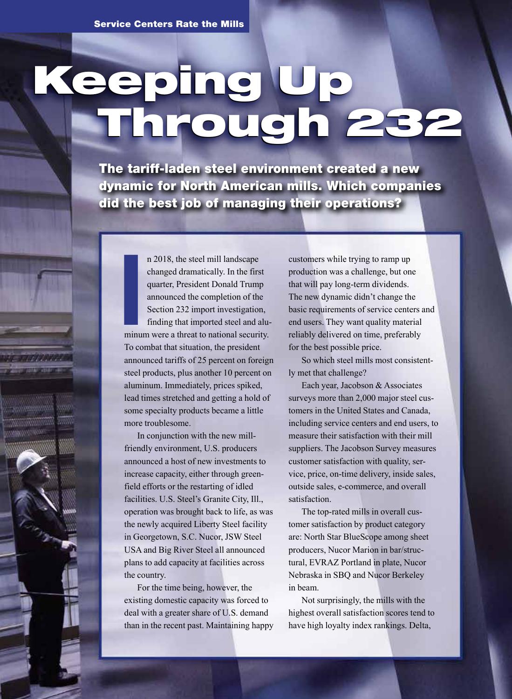# Keeping Up Through 232 Keeping Up Through 232

The tariff-laden steel environment created a new dynamic for North American mills. Which companies did the best job of managing their operations?

> n 2018, the steel mill landscape changed dramatically. In the first quarter, President Donald Trump announced the completion of the Section 232 import investigation,

**Illuminum** finding that imported steel and aluminum were a threat to national security. To combat that situation, the president announced tariffs of 25 percent on foreign steel products, plus another 10 percent on aluminum. Immediately, prices spiked, lead times stretched and getting a hold of some specialty products became a little more troublesome.

In conjunction with the new millfriendly environment, U.S. producers announced a host of new investments to increase capacity, either through greenfield efforts or the restarting of idled facilities. U.S. Steel's Granite City, Ill., operation was brought back to life, as was the newly acquired Liberty Steel facility in Georgetown, S.C. Nucor, JSW Steel USA and Big River Steel all announced plans to add capacity at facilities across the country.

For the time being, however, the existing domestic capacity was forced to deal with a greater share of U.S. demand than in the recent past. Maintaining happy customers while trying to ramp up production was a challenge, but one that will pay long-term dividends. The new dynamic didn't change the basic requirements of service centers and end users. They want quality material reliably delivered on time, preferably for the best possible price.

So which steel mills most consistently met that challenge?

Each year, Jacobson & Associates surveys more than 2,000 major steel customers in the United States and Canada, including service centers and end users, to measure their satisfaction with their mill suppliers. The Jacobson Survey measures customer satisfaction with quality, service, price, on-time delivery, inside sales, outside sales, e-commerce, and overall satisfaction.

The top-rated mills in overall customer satisfaction by product category are: North Star BlueScope among sheet producers, Nucor Marion in bar/structural, EVRAZ Portland in plate, Nucor Nebraska in SBQ and Nucor Berkeley in beam.

Not surprisingly, the mills with the highest overall satisfaction scores tend to have high loyalty index rankings. Delta,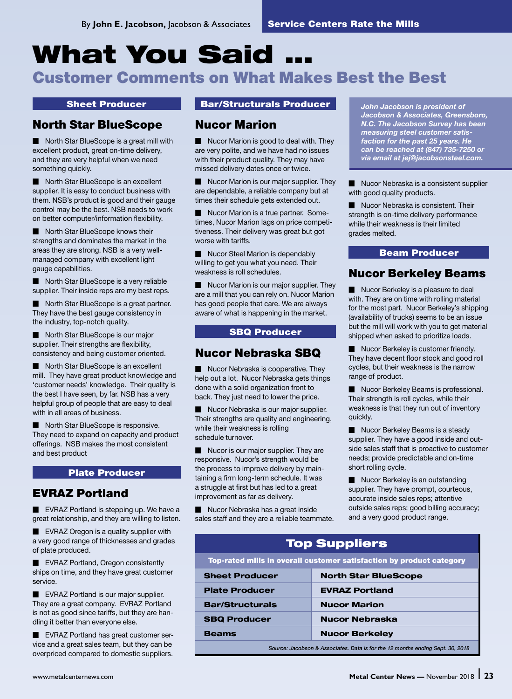# What You Said .

# Customer Comments on What Makes Best the Best

#### Sheet Producer

# North Star BlueScope

Morth Star BlueScope is a great mill with excellent product, great on-time delivery, and they are very helpful when we need something quickly.

Morth Star BlueScope is an excellent supplier. It is easy to conduct business with them. NSB's product is good and their gauge control may be the best. NSB needs to work on better computer/information flexibility.

Morth Star BlueScope knows their strengths and dominates the market in the areas they are strong. NSB is a very wellmanaged company with excellent light gauge capabilities.

Morth Star BlueScope is a very reliable supplier. Their inside reps are my best reps.

Morth Star BlueScope is a great partner. They have the best gauge consistency in the industry, top-notch quality.

North Star BlueScope is our major supplier. Their strengths are flexibility, consistency and being customer oriented.

Morth Star BlueScope is an excellent mill. They have great product knowledge and 'customer needs' knowledge. Their quality is the best I have seen, by far. NSB has a very helpful group of people that are easy to deal with in all areas of business.

North Star BlueScope is responsive. They need to expand on capacity and product offerings. NSB makes the most consistent and best product

#### Plate Producer

# EVRAZ Portland

 $\blacksquare$  EVRAZ Portland is stepping up. We have a great relationship, and they are willing to listen.

 $\blacksquare$  EVRAZ Oregon is a quality supplier with a very good range of thicknesses and grades of plate produced.

**EVRAZ Portland, Oregon consistently** ships on time, and they have great customer service.

**EVRAZ Portland is our major supplier.** They are a great company. EVRAZ Portland is not as good since tariffs, but they are handling it better than everyone else.

**EVRAZ Portland has great customer ser**vice and a great sales team, but they can be overpriced compared to domestic suppliers.

#### Bar/Structurals Producer

## Nucor Marion

Nucor Marion is good to deal with. They are very polite, and we have had no issues with their product quality. They may have missed delivery dates once or twice.

Nucor Marion is our major supplier. They are dependable, a reliable company but at times their schedule gets extended out.

Nucor Marion is a true partner. Sometimes, Nucor Marion lags on price competitiveness. Their delivery was great but got worse with tariffs.

Nucor Steel Marion is dependably willing to get you what you need. Their weakness is roll schedules.

 $\blacksquare$  Nucor Marion is our major supplier. They are a mill that you can rely on. Nucor Marion has good people that care. We are always aware of what is happening in the market.

#### SBQ Producer

# Nucor Nebraska SBQ

Nucor Nebraska is cooperative. They help out a lot. Nucor Nebraska gets things done with a solid organization front to back. They just need to lower the price.

Nucor Nebraska is our major supplier. Their strengths are quality and engineering, while their weakness is rolling schedule turnover.

 $\blacksquare$  Nucor is our major supplier. They are responsive. Nucor's strength would be the process to improve delivery by maintaining a firm long-term schedule. It was a struggle at first but has led to a great improvement as far as delivery.

 $\blacksquare$  Nucor Nebraska has a great inside sales staff and they are a reliable teammate.

**The Sheet Producer Bar/Structurals Producer**<br> **North Star BlueScope Mucor Marion**<br>
North Star BlueScope is a great mill with Nucor Marion and *Marion* M.C. The Jacobson Survey has<br>
North Star BlueScope is a great mill wit *Jacobson & Associates, Greensboro, N.C. The Jacobson Survey has been measuring steel customer satisfaction for the past 25 years. He can be reached at (847) 735-7250 or via email at jej@jacobsonsteel.com.*

> $\blacksquare$  Nucor Nebraska is a consistent supplier with good quality products.

Nucor Nebraska is consistent. Their strength is on-time delivery performance while their weakness is their limited grades melted.

#### Beam Producer

# Nucor Berkeley Beams

Nucor Berkeley is a pleasure to deal with. They are on time with rolling material for the most part. Nucor Berkeley's shipping (availability of trucks) seems to be an issue but the mill will work with you to get material shipped when asked to prioritize loads.

Nucor Berkeley is customer friendly. They have decent floor stock and good roll cycles, but their weakness is the narrow range of product.

Nucor Berkeley Beams is professional. Their strength is roll cycles, while their weakness is that they run out of inventory quickly.

 $\blacksquare$  Nucor Berkeley Beams is a steady supplier. They have a good inside and outside sales staff that is proactive to customer needs; provide predictable and on-time short rolling cycle.

Nucor Berkeley is an outstanding supplier. They have prompt, courteous, accurate inside sales reps; attentive outside sales reps; good billing accuracy; and a very good product range.

# Top Suppliers

Top-rated mills in overall customer satisfaction by product category

| <b>Sheet Producer</b>                                                          | <b>North Star BlueScope</b> |
|--------------------------------------------------------------------------------|-----------------------------|
| <b>Plate Producer</b>                                                          | <b>EVRAZ Portland</b>       |
| <b>Bar/Structurals</b>                                                         | <b>Nucor Marion</b>         |
| <b>SBQ Producer</b>                                                            | <b>Nucor Nebraska</b>       |
| <b>Beams</b>                                                                   | <b>Nucor Berkeley</b>       |
| Source: Jacobson & Associates. Data is for the 12 months ending Sept. 30, 2018 |                             |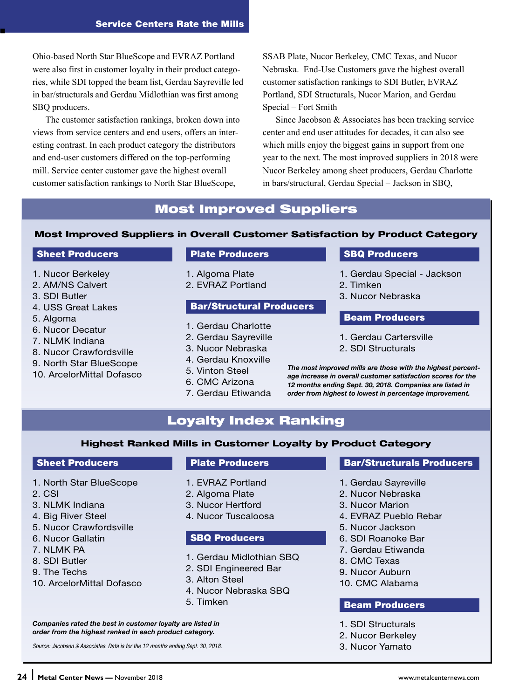Ohio-based North Star BlueScope and EVRAZ Portland were also first in customer loyalty in their product categories, while SDI topped the beam list, Gerdau Sayreville led in bar/structurals and Gerdau Midlothian was first among SBQ producers.

The customer satisfaction rankings, broken down into views from service centers and end users, offers an interesting contrast. In each product category the distributors and end-user customers differed on the top-performing mill. Service center customer gave the highest overall customer satisfaction rankings to North Star BlueScope,

SSAB Plate, Nucor Berkeley, CMC Texas, and Nucor Nebraska. End-Use Customers gave the highest overall customer satisfaction rankings to SDI Butler, EVRAZ Portland, SDI Structurals, Nucor Marion, and Gerdau Special – Fort Smith

Since Jacobson & Associates has been tracking service center and end user attitudes for decades, it can also see which mills enjoy the biggest gains in support from one year to the next. The most improved suppliers in 2018 were Nucor Berkeley among sheet producers, Gerdau Charlotte in bars/structural, Gerdau Special – Jackson in SBQ,

# Most Improved Suppliers

#### Most Improved Suppliers in Overall Customer Satisfaction by Product Category

#### Sheet Producers

- 1. Nucor Berkeley
- 2. AM/NS Calvert
- 3. SDI Butler

Gerdau Cartersville in beams and Algoma in plate. n

- 4. USS Great Lakes
- 5. Algoma
- 6. Nucor Decatur
- 7. NLMK Indiana
- 8. Nucor Crawfordsville
- 9. North Star BlueScope
- 10. ArcelorMittal Dofasco

#### Plate Producers

1. Algoma Plate 2. EVRAZ Portland

#### Bar/Structural Producers

- 1. Gerdau Charlotte
- 2. Gerdau Sayreville
- 3. Nucor Nebraska
- 4. Gerdau Knoxville
- 5. Vinton Steel
- 6. CMC Arizona
- 7. Gerdau Etiwanda

#### SBQ Producers

- 1. Gerdau Special Jackson
- 2. Timken
- 3. Nucor Nebraska

#### Beam Producers

- 1. Gerdau Cartersville
- 2. SDI Structurals

*The most improved mills are those with the highest percentage increase in overall customer satisfaction scores for the 12 months ending Sept. 30, 2018. Companies are listed in order from highest to lowest in percentage improvement.*

# Loyalty Index Ranking

#### Highest Ranked Mills in Customer Loyalty by Product Category

#### Sheet Producers

- 1. North Star BlueScope
- 2. CSI
- 3. NLMK Indiana
- 4. Big River Steel
- 5. Nucor Crawfordsville
- 6. Nucor Gallatin
- 7. NLMK PA
- 8. SDI Butler
- 9. The Techs
- 10. ArcelorMittal Dofasco

#### Plate Producers

- 1. EVRAZ Portland
- 2. Algoma Plate
- 3. Nucor Hertford
- 4. Nucor Tuscaloosa

#### SBQ Producers

- 1. Gerdau Midlothian SBQ
- 2. SDI Engineered Bar
- 3. Alton Steel
- 4. Nucor Nebraska SBQ
- 5. Timken

*Companies rated the best in customer loyalty are listed in order from the highest ranked in each product category.*

*Source: Jacobson & Associates. Data is for the 12 months ending Sept. 30, 2018.*

#### Bar/Structurals Producers

- 1. Gerdau Sayreville
- 2. Nucor Nebraska
- 3. Nucor Marion
- 4. EVRAZ Pueblo Rebar
- 5. Nucor Jackson
- 6. SDI Roanoke Bar
- 7. Gerdau Etiwanda
- 8. CMC Texas
- 9. Nucor Auburn
- 10. CMC Alabama

#### Beam Producers

- 1. SDI Structurals
- 2. Nucor Berkeley
- 3. Nucor Yamato